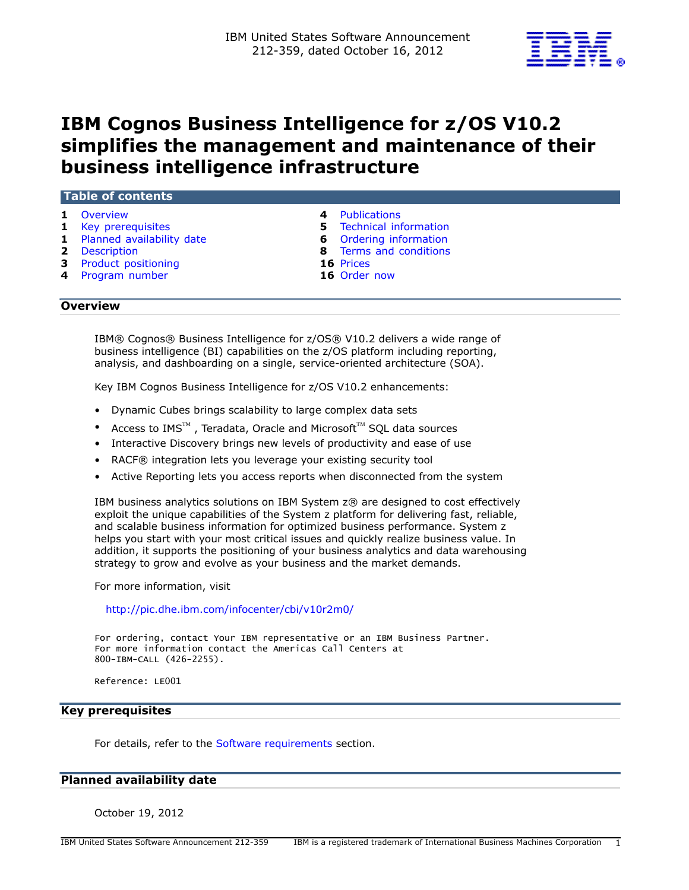

# **IBM Cognos Business Intelligence for z/OS V10.2 simplifies the management and maintenance of their business intelligence infrastructure**

| Table of contents           |                                |
|-----------------------------|--------------------------------|
| Overview                    | 4 Publications                 |
| 1 Key prerequisites         | <b>5</b> Technical information |
| 1 Planned availability date | <b>6</b> Ordering information  |
| 2 Description               | 8 Terms and conditions         |
| 3 Product positioning       | 16 Prices                      |
| 4 Program number            | 16 Order now                   |

#### <span id="page-0-0"></span>**Overview**

IBM® Cognos® Business Intelligence for z/OS® V10.2 delivers a wide range of business intelligence (BI) capabilities on the z/OS platform including reporting, analysis, and dashboarding on a single, service-oriented architecture (SOA).

Key IBM Cognos Business Intelligence for z/OS V10.2 enhancements:

- Dynamic Cubes brings scalability to large complex data sets
- Access to IMS $^{TM}$ , Teradata, Oracle and Microsoft $^{TM}$  SQL data sources
- Interactive Discovery brings new levels of productivity and ease of use
- RACF® integration lets you leverage your existing security tool
- Active Reporting lets you access reports when disconnected from the system

IBM business analytics solutions on IBM System z® are designed to cost effectively exploit the unique capabilities of the System z platform for delivering fast, reliable, and scalable business information for optimized business performance. System z helps you start with your most critical issues and quickly realize business value. In addition, it supports the positioning of your business analytics and data warehousing strategy to grow and evolve as your business and the market demands.

For more information, visit

<http://pic.dhe.ibm.com/infocenter/cbi/v10r2m0/>

For ordering, contact Your IBM representative or an IBM Business Partner. For more information contact the Americas Call Centers at 800-IBM-CALL (426-2255).

Reference: LE001

# <span id="page-0-1"></span>**Key prerequisites**

For details, refer to the [Software requirements](#page-4-1) section.

# <span id="page-0-2"></span>**Planned availability date**

October 19, 2012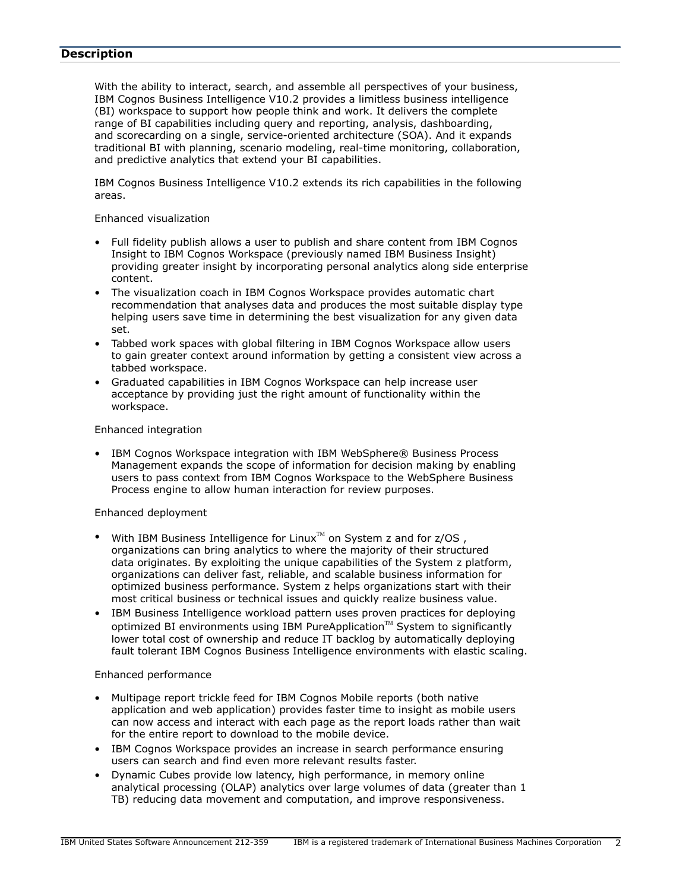# <span id="page-1-0"></span>**Description**

With the ability to interact, search, and assemble all perspectives of your business, IBM Cognos Business Intelligence V10.2 provides a limitless business intelligence (BI) workspace to support how people think and work. It delivers the complete range of BI capabilities including query and reporting, analysis, dashboarding, and scorecarding on a single, service-oriented architecture (SOA). And it expands traditional BI with planning, scenario modeling, real-time monitoring, collaboration, and predictive analytics that extend your BI capabilities.

IBM Cognos Business Intelligence V10.2 extends its rich capabilities in the following areas.

#### Enhanced visualization

- Full fidelity publish allows a user to publish and share content from IBM Cognos Insight to IBM Cognos Workspace (previously named IBM Business Insight) providing greater insight by incorporating personal analytics along side enterprise content.
- The visualization coach in IBM Cognos Workspace provides automatic chart recommendation that analyses data and produces the most suitable display type helping users save time in determining the best visualization for any given data set.
- Tabbed work spaces with global filtering in IBM Cognos Workspace allow users to gain greater context around information by getting a consistent view across a tabbed workspace.
- Graduated capabilities in IBM Cognos Workspace can help increase user acceptance by providing just the right amount of functionality within the workspace.

### Enhanced integration

• IBM Cognos Workspace integration with IBM WebSphere® Business Process Management expands the scope of information for decision making by enabling users to pass context from IBM Cognos Workspace to the WebSphere Business Process engine to allow human interaction for review purposes.

### Enhanced deployment

- With IBM Business Intelligence for Linux<sup> $M$ </sup> on System z and for  $z/OS$ , organizations can bring analytics to where the majority of their structured data originates. By exploiting the unique capabilities of the System z platform, organizations can deliver fast, reliable, and scalable business information for optimized business performance. System z helps organizations start with their most critical business or technical issues and quickly realize business value.
- IBM Business Intelligence workload pattern uses proven practices for deploying optimized BI environments using IBM PureApplication<sup>™</sup> System to significantly lower total cost of ownership and reduce IT backlog by automatically deploying fault tolerant IBM Cognos Business Intelligence environments with elastic scaling.

### Enhanced performance

- Multipage report trickle feed for IBM Cognos Mobile reports (both native application and web application) provides faster time to insight as mobile users can now access and interact with each page as the report loads rather than wait for the entire report to download to the mobile device.
- IBM Cognos Workspace provides an increase in search performance ensuring users can search and find even more relevant results faster.
- Dynamic Cubes provide low latency, high performance, in memory online analytical processing (OLAP) analytics over large volumes of data (greater than 1 TB) reducing data movement and computation, and improve responsiveness.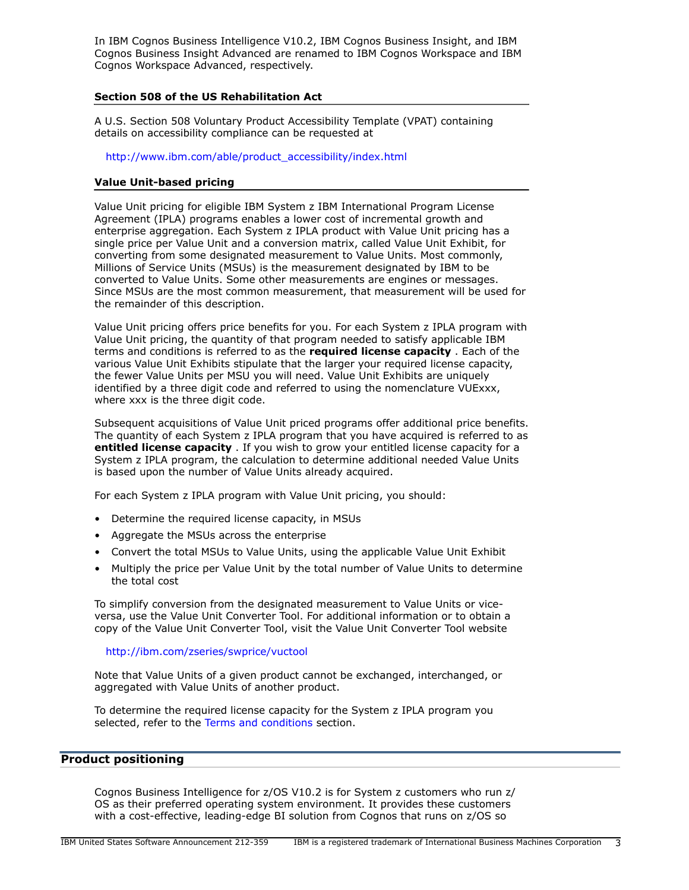In IBM Cognos Business Intelligence V10.2, IBM Cognos Business Insight, and IBM Cognos Business Insight Advanced are renamed to IBM Cognos Workspace and IBM Cognos Workspace Advanced, respectively.

# **Section 508 of the US Rehabilitation Act**

A U.S. Section 508 Voluntary Product Accessibility Template (VPAT) containing details on accessibility compliance can be requested at

[http://www.ibm.com/able/product\\_accessibility/index.html](http://www.ibm.com/able/product_accessibility/index.html)

# **Value Unit-based pricing**

Value Unit pricing for eligible IBM System z IBM International Program License Agreement (IPLA) programs enables a lower cost of incremental growth and enterprise aggregation. Each System z IPLA product with Value Unit pricing has a single price per Value Unit and a conversion matrix, called Value Unit Exhibit, for converting from some designated measurement to Value Units. Most commonly, Millions of Service Units (MSUs) is the measurement designated by IBM to be converted to Value Units. Some other measurements are engines or messages. Since MSUs are the most common measurement, that measurement will be used for the remainder of this description.

Value Unit pricing offers price benefits for you. For each System z IPLA program with Value Unit pricing, the quantity of that program needed to satisfy applicable IBM terms and conditions is referred to as the **required license capacity** . Each of the various Value Unit Exhibits stipulate that the larger your required license capacity, the fewer Value Units per MSU you will need. Value Unit Exhibits are uniquely identified by a three digit code and referred to using the nomenclature VUExxx, where xxx is the three digit code.

Subsequent acquisitions of Value Unit priced programs offer additional price benefits. The quantity of each System z IPLA program that you have acquired is referred to as **entitled license capacity** . If you wish to grow your entitled license capacity for a System z IPLA program, the calculation to determine additional needed Value Units is based upon the number of Value Units already acquired.

For each System z IPLA program with Value Unit pricing, you should:

- Determine the required license capacity, in MSUs
- Aggregate the MSUs across the enterprise
- Convert the total MSUs to Value Units, using the applicable Value Unit Exhibit
- Multiply the price per Value Unit by the total number of Value Units to determine the total cost

To simplify conversion from the designated measurement to Value Units or viceversa, use the Value Unit Converter Tool. For additional information or to obtain a copy of the Value Unit Converter Tool, visit the Value Unit Converter Tool website

### <http://ibm.com/zseries/swprice/vuctool>

Note that Value Units of a given product cannot be exchanged, interchanged, or aggregated with Value Units of another product.

To determine the required license capacity for the System z IPLA program you selected, refer to the [Terms and conditions](#page-7-0) section.

# <span id="page-2-0"></span>**Product positioning**

Cognos Business Intelligence for z/OS V10.2 is for System z customers who run z/ OS as their preferred operating system environment. It provides these customers with a cost-effective, leading-edge BI solution from Cognos that runs on z/OS so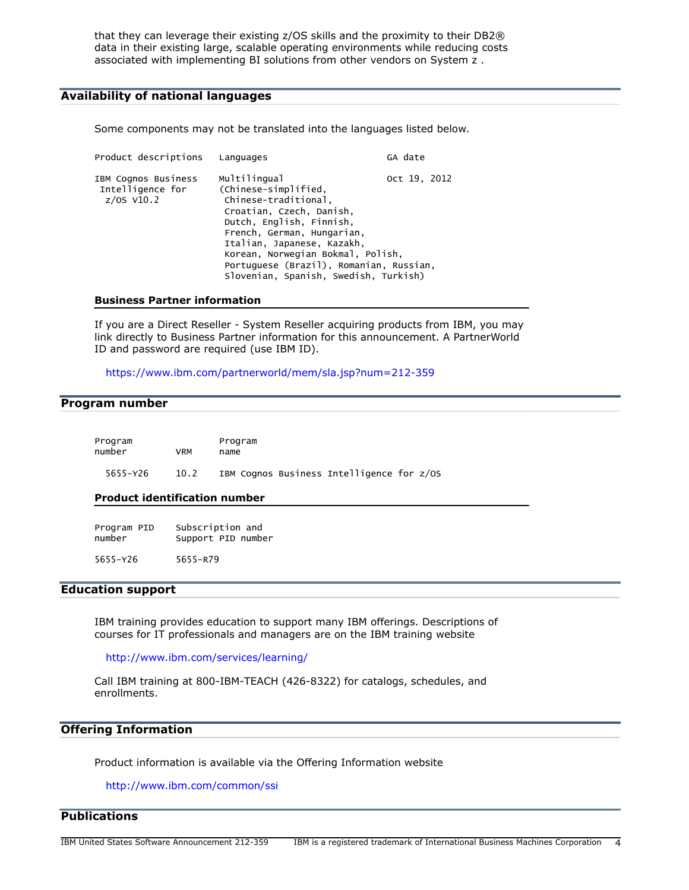that they can leverage their existing z/OS skills and the proximity to their DB2® data in their existing large, scalable operating environments while reducing costs associated with implementing BI solutions from other vendors on System z .

# **Availability of national languages**

Some components may not be translated into the languages listed below.

| Product descriptions                                    | Languages                                                                                                                                                                                                                                                                                                 | GA date      |
|---------------------------------------------------------|-----------------------------------------------------------------------------------------------------------------------------------------------------------------------------------------------------------------------------------------------------------------------------------------------------------|--------------|
| IBM Cognos Business<br>Intelligence for<br>$z/0s$ V10.2 | Multilingual<br>(Chinese-simplified,<br>Chinese-traditional,<br>Croatian, Czech, Danish,<br>Dutch, English, Finnish,<br>French, German, Hungarian,<br>Italian, Japanese, Kazakh,<br>Korean, Norwegian Bokmal, Polish,<br>Portuguese (Brazil), Romanian, Russian,<br>Slovenian, Spanish, Swedish, Turkish) | Oct 19, 2012 |
|                                                         |                                                                                                                                                                                                                                                                                                           |              |

#### **Business Partner information**

If you are a Direct Reseller - System Reseller acquiring products from IBM, you may link directly to Business Partner information for this announcement. A PartnerWorld ID and password are required (use IBM ID).

<https://www.ibm.com/partnerworld/mem/sla.jsp?num=212-359>

# <span id="page-3-1"></span>**Program number**

| Program  |      | Program                                   |
|----------|------|-------------------------------------------|
| number   | VRM  | name                                      |
| 5655-Y26 | 10.2 | IBM Cognos Business Intelligence for z/OS |

#### **Product identification number**

| Program PID | Subscription and   |  |
|-------------|--------------------|--|
| number      | Support PID number |  |
|             |                    |  |

5655-Y26 5655-R79

# **Education support**

IBM training provides education to support many IBM offerings. Descriptions of courses for IT professionals and managers are on the IBM training website

<http://www.ibm.com/services/learning/>

Call IBM training at 800-IBM-TEACH (426-8322) for catalogs, schedules, and enrollments.

# **Offering Information**

Product information is available via the Offering Information website

<http://www.ibm.com/common/ssi>

<span id="page-3-0"></span>**Publications**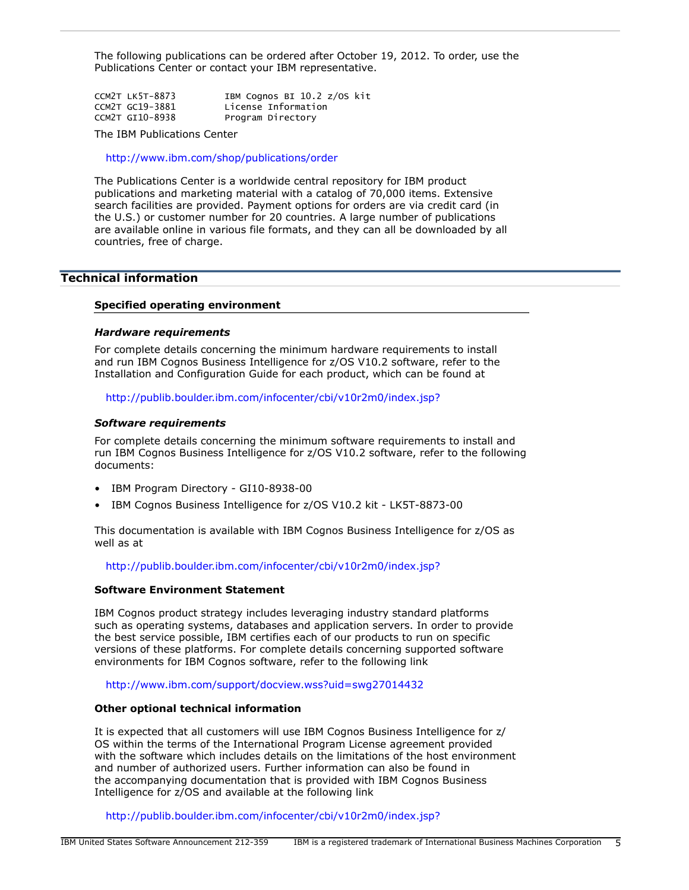The following publications can be ordered after October 19, 2012. To order, use the Publications Center or contact your IBM representative.

| CCM2T LK5T-8873 | IBM Cognos BI 10.2 z/OS kit |
|-----------------|-----------------------------|
| CCM2T GC19-3881 | License Information         |
| CCM2T GI10-8938 | Program Directory           |

The IBM Publications Center

<http://www.ibm.com/shop/publications/order>

The Publications Center is a worldwide central repository for IBM product publications and marketing material with a catalog of 70,000 items. Extensive search facilities are provided. Payment options for orders are via credit card (in the U.S.) or customer number for 20 countries. A large number of publications are available online in various file formats, and they can all be downloaded by all countries, free of charge.

# <span id="page-4-0"></span>**Technical information**

#### **Specified operating environment**

#### *Hardware requirements*

For complete details concerning the minimum hardware requirements to install and run IBM Cognos Business Intelligence for z/OS V10.2 software, refer to the Installation and Configuration Guide for each product, which can be found at

<http://publib.boulder.ibm.com/infocenter/cbi/v10r2m0/index.jsp?>

#### <span id="page-4-1"></span>*Software requirements*

For complete details concerning the minimum software requirements to install and run IBM Cognos Business Intelligence for z/OS V10.2 software, refer to the following documents:

- IBM Program Directory GI10-8938-00
- IBM Cognos Business Intelligence for z/OS V10.2 kit LK5T-8873-00

This documentation is available with IBM Cognos Business Intelligence for z/OS as well as at

<http://publib.boulder.ibm.com/infocenter/cbi/v10r2m0/index.jsp?>

#### **Software Environment Statement**

IBM Cognos product strategy includes leveraging industry standard platforms such as operating systems, databases and application servers. In order to provide the best service possible, IBM certifies each of our products to run on specific versions of these platforms. For complete details concerning supported software environments for IBM Cognos software, refer to the following link

<http://www.ibm.com/support/docview.wss?uid=swg27014432>

#### **Other optional technical information**

It is expected that all customers will use IBM Cognos Business Intelligence for z/ OS within the terms of the International Program License agreement provided with the software which includes details on the limitations of the host environment and number of authorized users. Further information can also be found in the accompanying documentation that is provided with IBM Cognos Business Intelligence for z/OS and available at the following link

<http://publib.boulder.ibm.com/infocenter/cbi/v10r2m0/index.jsp?>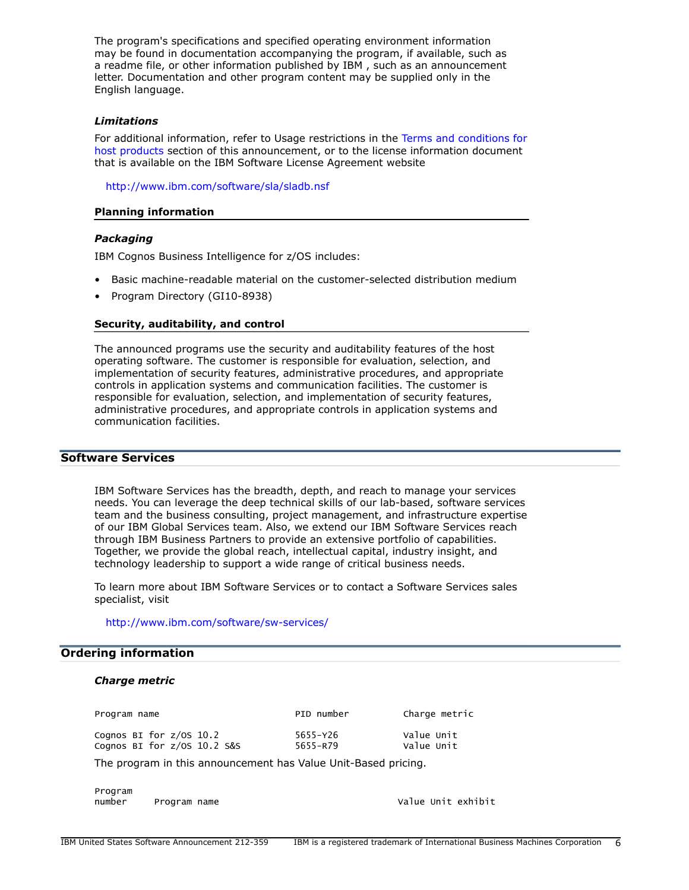The program's specifications and specified operating environment information may be found in documentation accompanying the program, if available, such as a readme file, or other information published by IBM , such as an announcement letter. Documentation and other program content may be supplied only in the English language.

# *Limitations*

For additional information, refer to Usage restrictions in the [Terms and conditions for](#page-9-0) [host products](#page-9-0) section of this announcement, or to the license information document that is available on the IBM Software License Agreement website

<http://www.ibm.com/software/sla/sladb.nsf>

### **Planning information**

### *Packaging*

IBM Cognos Business Intelligence for z/OS includes:

- Basic machine-readable material on the customer-selected distribution medium
- Program Directory (GI10-8938)

#### **Security, auditability, and control**

The announced programs use the security and auditability features of the host operating software. The customer is responsible for evaluation, selection, and implementation of security features, administrative procedures, and appropriate controls in application systems and communication facilities. The customer is responsible for evaluation, selection, and implementation of security features, administrative procedures, and appropriate controls in application systems and communication facilities.

# **Software Services**

IBM Software Services has the breadth, depth, and reach to manage your services needs. You can leverage the deep technical skills of our lab-based, software services team and the business consulting, project management, and infrastructure expertise of our IBM Global Services team. Also, we extend our IBM Software Services reach through IBM Business Partners to provide an extensive portfolio of capabilities. Together, we provide the global reach, intellectual capital, industry insight, and technology leadership to support a wide range of critical business needs.

To learn more about IBM Software Services or to contact a Software Services sales specialist, visit

<http://www.ibm.com/software/sw-services/>

### <span id="page-5-0"></span>**Ordering information**

#### *Charge metric*

| Program name                                             | PID number           | Charge metric            |
|----------------------------------------------------------|----------------------|--------------------------|
| Cognos BI for $z/0s$ 10.2<br>Cognos BI for z/0S 10.2 S&S | 5655-Y26<br>5655-R79 | Value Unit<br>Value Unit |
| $-1$                                                     |                      |                          |

The program in this announcement has Value Unit-Based pricing.

Program number Program name Value Unit exhibit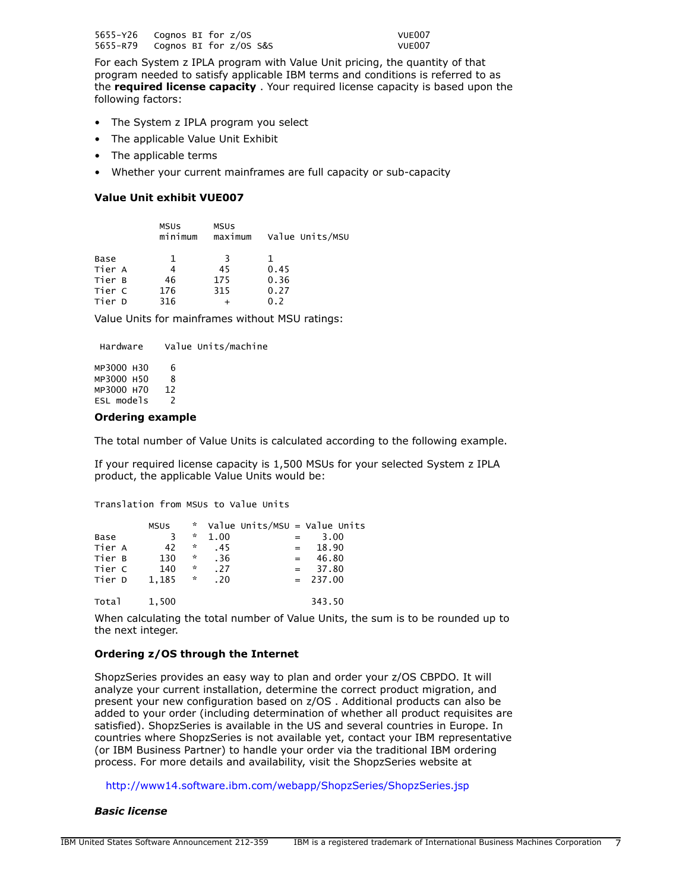5655-Y26 Cognos BI for z/OS VUE007 Cognos BI for  $z/0S$  S&S

For each System z IPLA program with Value Unit pricing, the quantity of that program needed to satisfy applicable IBM terms and conditions is referred to as the **required license capacity** . Your required license capacity is based upon the following factors:

- The System z IPLA program you select
- The applicable Value Unit Exhibit
- The applicable terms
- Whether your current mainframes are full capacity or sub-capacity

# **Value Unit exhibit VUE007**

|        | <b>MSUS</b><br>minimum | <b>MSUS</b><br>maximum | Value Units/MSU |
|--------|------------------------|------------------------|-----------------|
| Base   | 1                      | 3                      |                 |
| Tier A |                        | 45                     | 0.45            |
| Tier B | 46                     | 175                    | 0.36            |
| Tier C | 176                    | 315                    | 0.27            |
| Tier D | 316                    |                        | 0.2             |

Value Units for mainframes without MSU ratings:

Hardware Value Units/machine

MP3000 H30 6 MP3000 H50 8 MP3000 H70 12 ESL models 2

### **Ordering example**

The total number of Value Units is calculated according to the following example.

If your required license capacity is 1,500 MSUs for your selected System z IPLA product, the applicable Value Units would be:

Translation from MSUs to Value Units

|        | <b>MSUS</b> | $\mathbf{x}$       |      | Value Units/MSU = Value Units |                  |  |
|--------|-------------|--------------------|------|-------------------------------|------------------|--|
| Base   | 3           | $\mathcal{R}$      | 1.00 |                               | 3.00             |  |
| Tier A | 42          | $\boldsymbol{\pi}$ | .45  |                               | 18.90<br>$=$ $-$ |  |
| Tier B | 130         | ☆                  | .36  |                               | 46.80<br>$=$     |  |
| Tier C | 140         | $\boldsymbol{\pi}$ | .27  |                               | 37.80<br>$=$     |  |
| Tier D | 1.185       | $\sim$             | .20  |                               | $= 237.00$       |  |
| Total  | 1,500       |                    |      |                               | 343.50           |  |

When calculating the total number of Value Units, the sum is to be rounded up to the next integer.

### **Ordering z/OS through the Internet**

ShopzSeries provides an easy way to plan and order your z/OS CBPDO. It will analyze your current installation, determine the correct product migration, and present your new configuration based on z/OS . Additional products can also be added to your order (including determination of whether all product requisites are satisfied). ShopzSeries is available in the US and several countries in Europe. In countries where ShopzSeries is not available yet, contact your IBM representative (or IBM Business Partner) to handle your order via the traditional IBM ordering process. For more details and availability, visit the ShopzSeries website at

### <http://www14.software.ibm.com/webapp/ShopzSeries/ShopzSeries.jsp>

### *Basic license*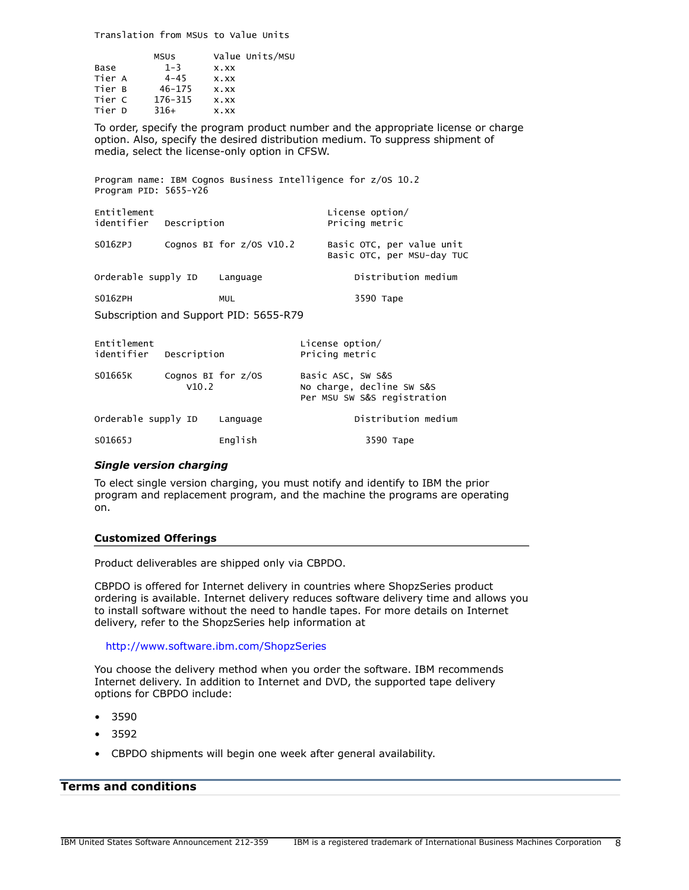Translation from MSUs to Value Units

| Base<br>Tier A<br>Tier B<br>Tier C | MSUS<br>$1 - 3$<br>$4 - 45$<br>$46 - 175$<br>176-315 | $X$ . $XX$<br>$X$ . $XX$<br>$X$ . $XX$<br>$X$ . $XX$ | Value Units/MSU |
|------------------------------------|------------------------------------------------------|------------------------------------------------------|-----------------|
|                                    |                                                      |                                                      |                 |
| Tier D                             | $316+$                                               | $X$ . $XX$                                           |                 |
|                                    |                                                      |                                                      |                 |

To order, specify the program product number and the appropriate license or charge option. Also, specify the desired distribution medium. To suppress shipment of media, select the license-only option in CFSW.

Program name: IBM Cognos Business Intelligence for z/OS 10.2 Program PID: 5655-Y26 Entitlement License option/ Description **Description** Pricing metric S016ZPJ Cognos BI for z/OS V10.2 Basic OTC, per value unit Basic OTC, per MSU-day TUC Orderable supply ID Language The Distribution medium SO16ZPH MUL MUL 3590 Tape Subscription and Support PID: 5655-R79 Entitlement<br>
identifier Description<br>
identifier Description<br>
Pricing metric Description **Pricing metric** S01665K Cognos BI for z/OS Basic ASC, SW S&S V10.2 No charge, decline SW S&S

|                     |          | Per MSU SW S&S registration |
|---------------------|----------|-----------------------------|
| Orderable supply ID | Language | Distribution medium         |
| S01665J             | English  | 3590 Tape                   |

### *Single version charging*

To elect single version charging, you must notify and identify to IBM the prior program and replacement program, and the machine the programs are operating on.

### **Customized Offerings**

Product deliverables are shipped only via CBPDO.

CBPDO is offered for Internet delivery in countries where ShopzSeries product ordering is available. Internet delivery reduces software delivery time and allows you to install software without the need to handle tapes. For more details on Internet delivery, refer to the ShopzSeries help information at

### <http://www.software.ibm.com/ShopzSeries>

You choose the delivery method when you order the software. IBM recommends Internet delivery. In addition to Internet and DVD, the supported tape delivery options for CBPDO include:

- 3590
- 3592
- CBPDO shipments will begin one week after general availability.

# <span id="page-7-0"></span>**Terms and conditions**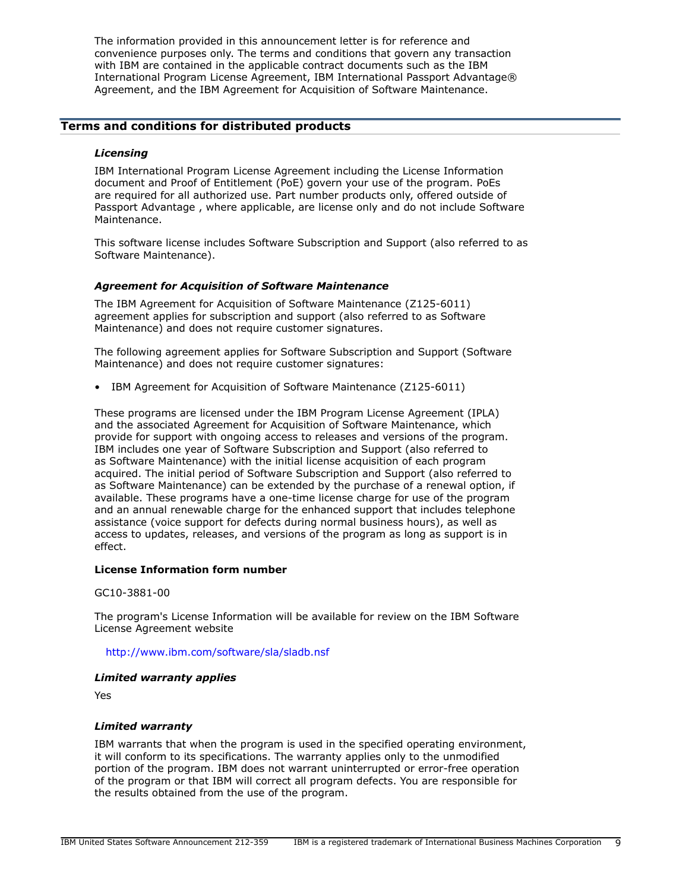The information provided in this announcement letter is for reference and convenience purposes only. The terms and conditions that govern any transaction with IBM are contained in the applicable contract documents such as the IBM International Program License Agreement, IBM International Passport Advantage® Agreement, and the IBM Agreement for Acquisition of Software Maintenance.

# **Terms and conditions for distributed products**

#### *Licensing*

IBM International Program License Agreement including the License Information document and Proof of Entitlement (PoE) govern your use of the program. PoEs are required for all authorized use. Part number products only, offered outside of Passport Advantage , where applicable, are license only and do not include Software Maintenance.

This software license includes Software Subscription and Support (also referred to as Software Maintenance).

#### *Agreement for Acquisition of Software Maintenance*

The IBM Agreement for Acquisition of Software Maintenance (Z125-6011) agreement applies for subscription and support (also referred to as Software Maintenance) and does not require customer signatures.

The following agreement applies for Software Subscription and Support (Software Maintenance) and does not require customer signatures:

• IBM Agreement for Acquisition of Software Maintenance (Z125-6011)

These programs are licensed under the IBM Program License Agreement (IPLA) and the associated Agreement for Acquisition of Software Maintenance, which provide for support with ongoing access to releases and versions of the program. IBM includes one year of Software Subscription and Support (also referred to as Software Maintenance) with the initial license acquisition of each program acquired. The initial period of Software Subscription and Support (also referred to as Software Maintenance) can be extended by the purchase of a renewal option, if available. These programs have a one-time license charge for use of the program and an annual renewable charge for the enhanced support that includes telephone assistance (voice support for defects during normal business hours), as well as access to updates, releases, and versions of the program as long as support is in effect.

#### **License Information form number**

#### GC10-3881-00

The program's License Information will be available for review on the IBM Software License Agreement website

#### <http://www.ibm.com/software/sla/sladb.nsf>

#### *Limited warranty applies*

Yes

### *Limited warranty*

IBM warrants that when the program is used in the specified operating environment, it will conform to its specifications. The warranty applies only to the unmodified portion of the program. IBM does not warrant uninterrupted or error-free operation of the program or that IBM will correct all program defects. You are responsible for the results obtained from the use of the program.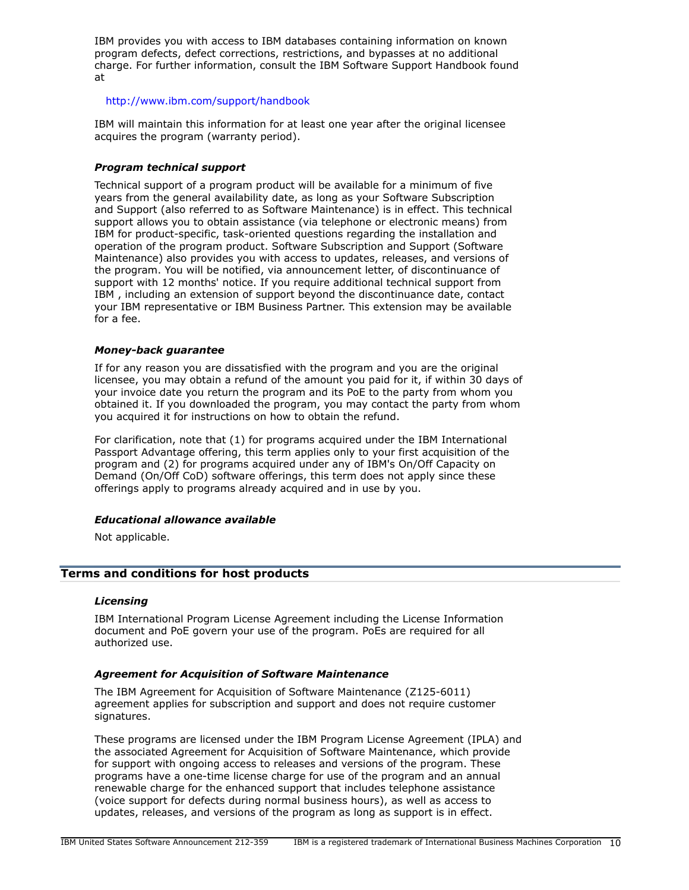IBM provides you with access to IBM databases containing information on known program defects, defect corrections, restrictions, and bypasses at no additional charge. For further information, consult the IBM Software Support Handbook found at

# <http://www.ibm.com/support/handbook>

IBM will maintain this information for at least one year after the original licensee acquires the program (warranty period).

# *Program technical support*

Technical support of a program product will be available for a minimum of five years from the general availability date, as long as your Software Subscription and Support (also referred to as Software Maintenance) is in effect. This technical support allows you to obtain assistance (via telephone or electronic means) from IBM for product-specific, task-oriented questions regarding the installation and operation of the program product. Software Subscription and Support (Software Maintenance) also provides you with access to updates, releases, and versions of the program. You will be notified, via announcement letter, of discontinuance of support with 12 months' notice. If you require additional technical support from IBM , including an extension of support beyond the discontinuance date, contact your IBM representative or IBM Business Partner. This extension may be available for a fee.

# *Money-back guarantee*

If for any reason you are dissatisfied with the program and you are the original licensee, you may obtain a refund of the amount you paid for it, if within 30 days of your invoice date you return the program and its PoE to the party from whom you obtained it. If you downloaded the program, you may contact the party from whom you acquired it for instructions on how to obtain the refund.

For clarification, note that (1) for programs acquired under the IBM International Passport Advantage offering, this term applies only to your first acquisition of the program and (2) for programs acquired under any of IBM's On/Off Capacity on Demand (On/Off CoD) software offerings, this term does not apply since these offerings apply to programs already acquired and in use by you.

# *Educational allowance available*

Not applicable.

# <span id="page-9-0"></span>**Terms and conditions for host products**

# *Licensing*

IBM International Program License Agreement including the License Information document and PoE govern your use of the program. PoEs are required for all authorized use.

# *Agreement for Acquisition of Software Maintenance*

The IBM Agreement for Acquisition of Software Maintenance (Z125-6011) agreement applies for subscription and support and does not require customer signatures.

These programs are licensed under the IBM Program License Agreement (IPLA) and the associated Agreement for Acquisition of Software Maintenance, which provide for support with ongoing access to releases and versions of the program. These programs have a one-time license charge for use of the program and an annual renewable charge for the enhanced support that includes telephone assistance (voice support for defects during normal business hours), as well as access to updates, releases, and versions of the program as long as support is in effect.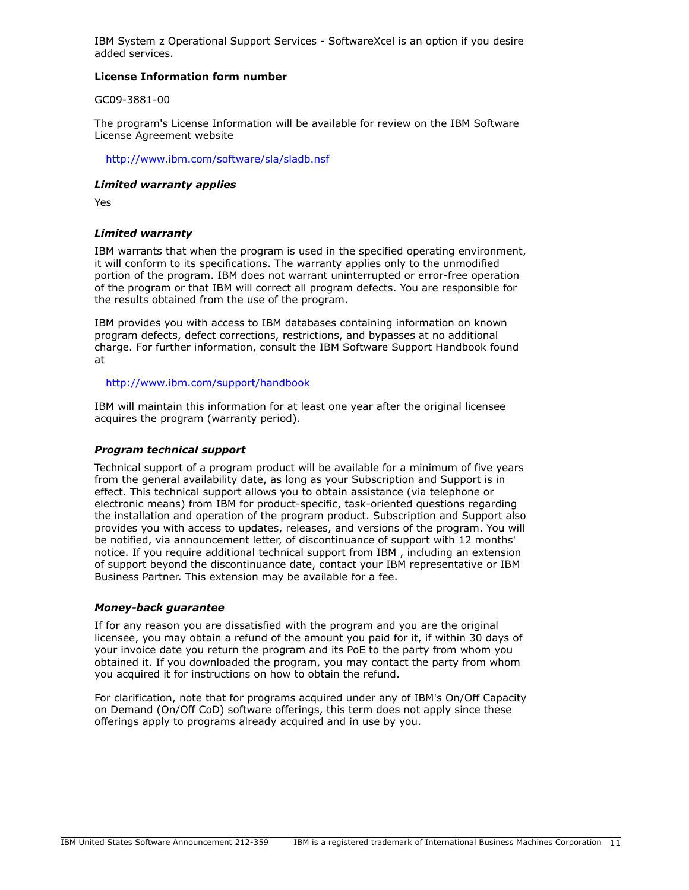IBM System z Operational Support Services - SoftwareXcel is an option if you desire added services.

# **License Information form number**

GC09-3881-00

The program's License Information will be available for review on the IBM Software License Agreement website

<http://www.ibm.com/software/sla/sladb.nsf>

# *Limited warranty applies*

Yes

# *Limited warranty*

IBM warrants that when the program is used in the specified operating environment, it will conform to its specifications. The warranty applies only to the unmodified portion of the program. IBM does not warrant uninterrupted or error-free operation of the program or that IBM will correct all program defects. You are responsible for the results obtained from the use of the program.

IBM provides you with access to IBM databases containing information on known program defects, defect corrections, restrictions, and bypasses at no additional charge. For further information, consult the IBM Software Support Handbook found at

<http://www.ibm.com/support/handbook>

IBM will maintain this information for at least one year after the original licensee acquires the program (warranty period).

# *Program technical support*

Technical support of a program product will be available for a minimum of five years from the general availability date, as long as your Subscription and Support is in effect. This technical support allows you to obtain assistance (via telephone or electronic means) from IBM for product-specific, task-oriented questions regarding the installation and operation of the program product. Subscription and Support also provides you with access to updates, releases, and versions of the program. You will be notified, via announcement letter, of discontinuance of support with 12 months' notice. If you require additional technical support from IBM , including an extension of support beyond the discontinuance date, contact your IBM representative or IBM Business Partner. This extension may be available for a fee.

### *Money-back guarantee*

If for any reason you are dissatisfied with the program and you are the original licensee, you may obtain a refund of the amount you paid for it, if within 30 days of your invoice date you return the program and its PoE to the party from whom you obtained it. If you downloaded the program, you may contact the party from whom you acquired it for instructions on how to obtain the refund.

For clarification, note that for programs acquired under any of IBM's On/Off Capacity on Demand (On/Off CoD) software offerings, this term does not apply since these offerings apply to programs already acquired and in use by you.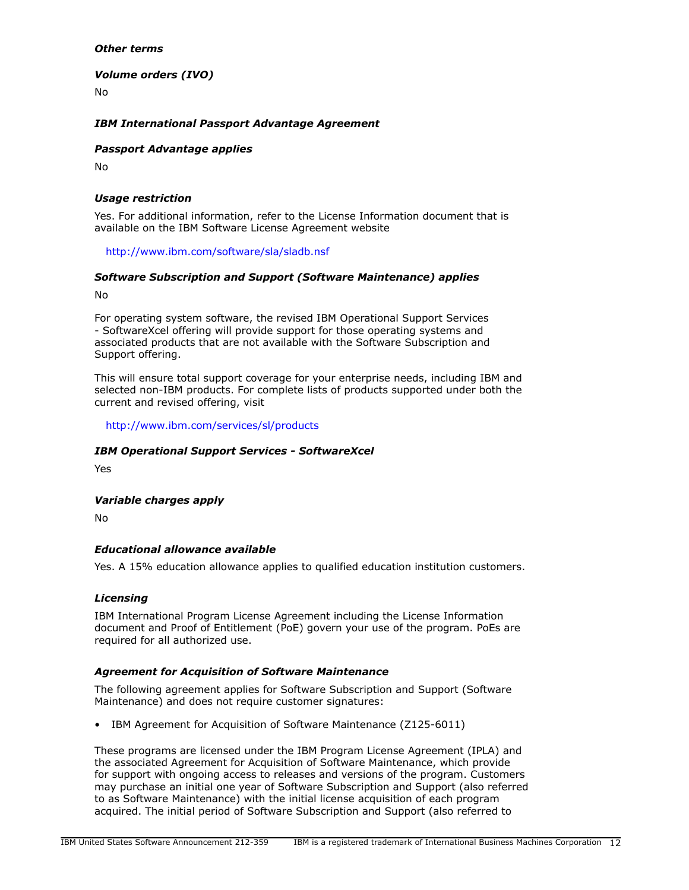# *Other terms*

*Volume orders (IVO)*

No

# *IBM International Passport Advantage Agreement*

# *Passport Advantage applies*

No

# *Usage restriction*

Yes. For additional information, refer to the License Information document that is available on the IBM Software License Agreement website

<http://www.ibm.com/software/sla/sladb.nsf>

# *Software Subscription and Support (Software Maintenance) applies*

No

For operating system software, the revised IBM Operational Support Services - SoftwareXcel offering will provide support for those operating systems and associated products that are not available with the Software Subscription and Support offering.

This will ensure total support coverage for your enterprise needs, including IBM and selected non-IBM products. For complete lists of products supported under both the current and revised offering, visit

<http://www.ibm.com/services/sl/products>

# *IBM Operational Support Services - SoftwareXcel*

Yes

### *Variable charges apply*

No

# *Educational allowance available*

Yes. A 15% education allowance applies to qualified education institution customers.

### *Licensing*

IBM International Program License Agreement including the License Information document and Proof of Entitlement (PoE) govern your use of the program. PoEs are required for all authorized use.

# *Agreement for Acquisition of Software Maintenance*

The following agreement applies for Software Subscription and Support (Software Maintenance) and does not require customer signatures:

• IBM Agreement for Acquisition of Software Maintenance (Z125-6011)

These programs are licensed under the IBM Program License Agreement (IPLA) and the associated Agreement for Acquisition of Software Maintenance, which provide for support with ongoing access to releases and versions of the program. Customers may purchase an initial one year of Software Subscription and Support (also referred to as Software Maintenance) with the initial license acquisition of each program acquired. The initial period of Software Subscription and Support (also referred to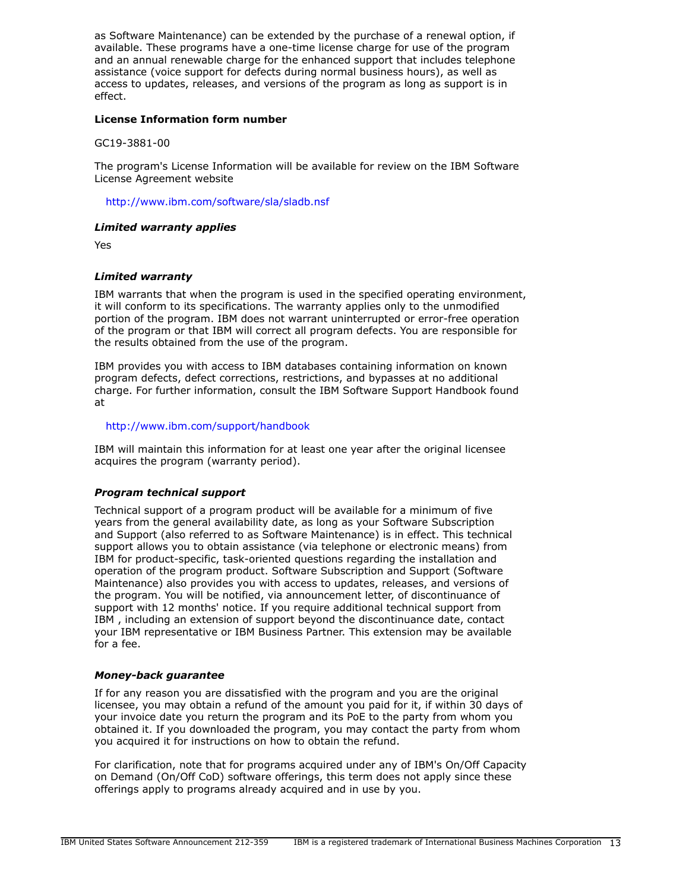as Software Maintenance) can be extended by the purchase of a renewal option, if available. These programs have a one-time license charge for use of the program and an annual renewable charge for the enhanced support that includes telephone assistance (voice support for defects during normal business hours), as well as access to updates, releases, and versions of the program as long as support is in effect.

# **License Information form number**

GC19-3881-00

The program's License Information will be available for review on the IBM Software License Agreement website

<http://www.ibm.com/software/sla/sladb.nsf>

# *Limited warranty applies*

Yes

# *Limited warranty*

IBM warrants that when the program is used in the specified operating environment, it will conform to its specifications. The warranty applies only to the unmodified portion of the program. IBM does not warrant uninterrupted or error-free operation of the program or that IBM will correct all program defects. You are responsible for the results obtained from the use of the program.

IBM provides you with access to IBM databases containing information on known program defects, defect corrections, restrictions, and bypasses at no additional charge. For further information, consult the IBM Software Support Handbook found at

## <http://www.ibm.com/support/handbook>

IBM will maintain this information for at least one year after the original licensee acquires the program (warranty period).

### *Program technical support*

Technical support of a program product will be available for a minimum of five years from the general availability date, as long as your Software Subscription and Support (also referred to as Software Maintenance) is in effect. This technical support allows you to obtain assistance (via telephone or electronic means) from IBM for product-specific, task-oriented questions regarding the installation and operation of the program product. Software Subscription and Support (Software Maintenance) also provides you with access to updates, releases, and versions of the program. You will be notified, via announcement letter, of discontinuance of support with 12 months' notice. If you require additional technical support from IBM , including an extension of support beyond the discontinuance date, contact your IBM representative or IBM Business Partner. This extension may be available for a fee.

### *Money-back guarantee*

If for any reason you are dissatisfied with the program and you are the original licensee, you may obtain a refund of the amount you paid for it, if within 30 days of your invoice date you return the program and its PoE to the party from whom you obtained it. If you downloaded the program, you may contact the party from whom you acquired it for instructions on how to obtain the refund.

For clarification, note that for programs acquired under any of IBM's On/Off Capacity on Demand (On/Off CoD) software offerings, this term does not apply since these offerings apply to programs already acquired and in use by you.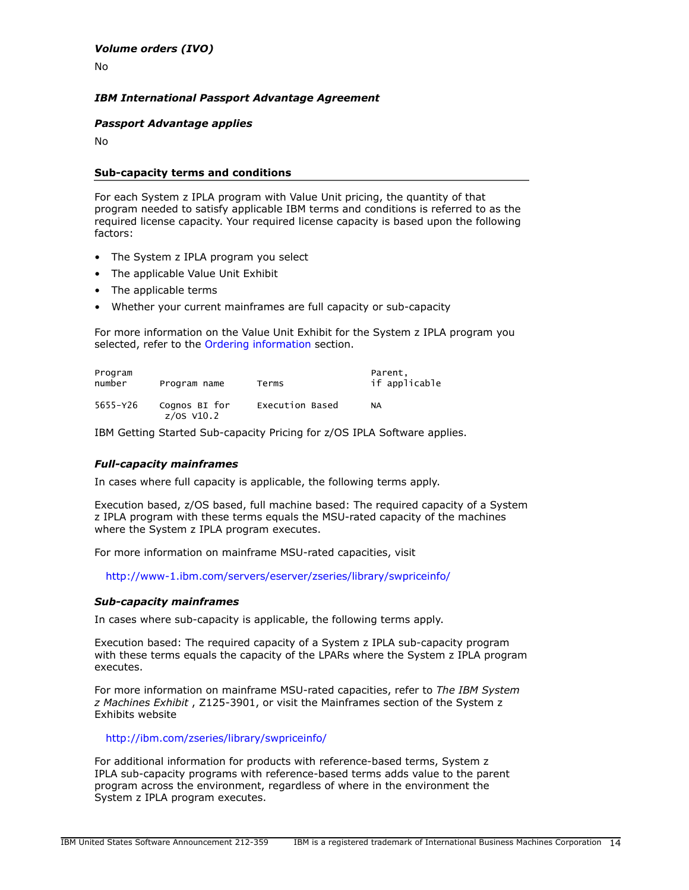No

# *IBM International Passport Advantage Agreement*

# *Passport Advantage applies*

No

### **Sub-capacity terms and conditions**

For each System z IPLA program with Value Unit pricing, the quantity of that program needed to satisfy applicable IBM terms and conditions is referred to as the required license capacity. Your required license capacity is based upon the following factors:

- The System z IPLA program you select
- The applicable Value Unit Exhibit
- The applicable terms
- Whether your current mainframes are full capacity or sub-capacity

For more information on the Value Unit Exhibit for the System z IPLA program you selected, refer to the [Ordering information](#page-5-0) section.

| Program<br>number<br>Program name |                               | Terms           | Parent,<br>if applicable |  |
|-----------------------------------|-------------------------------|-----------------|--------------------------|--|
| 5655-Y26                          | Cognos BI for<br>$z/0s$ V10.2 | Execution Based | NA                       |  |

IBM Getting Started Sub-capacity Pricing for z/OS IPLA Software applies.

# *Full-capacity mainframes*

In cases where full capacity is applicable, the following terms apply.

Execution based, z/OS based, full machine based: The required capacity of a System z IPLA program with these terms equals the MSU-rated capacity of the machines where the System z IPLA program executes.

For more information on mainframe MSU-rated capacities, visit

<http://www-1.ibm.com/servers/eserver/zseries/library/swpriceinfo/>

### *Sub-capacity mainframes*

In cases where sub-capacity is applicable, the following terms apply.

Execution based: The required capacity of a System z IPLA sub-capacity program with these terms equals the capacity of the LPARs where the System z IPLA program executes.

For more information on mainframe MSU-rated capacities, refer to *The IBM System z Machines Exhibit* , Z125-3901, or visit the Mainframes section of the System z Exhibits website

### <http://ibm.com/zseries/library/swpriceinfo/>

For additional information for products with reference-based terms, System z IPLA sub-capacity programs with reference-based terms adds value to the parent program across the environment, regardless of where in the environment the System z IPLA program executes.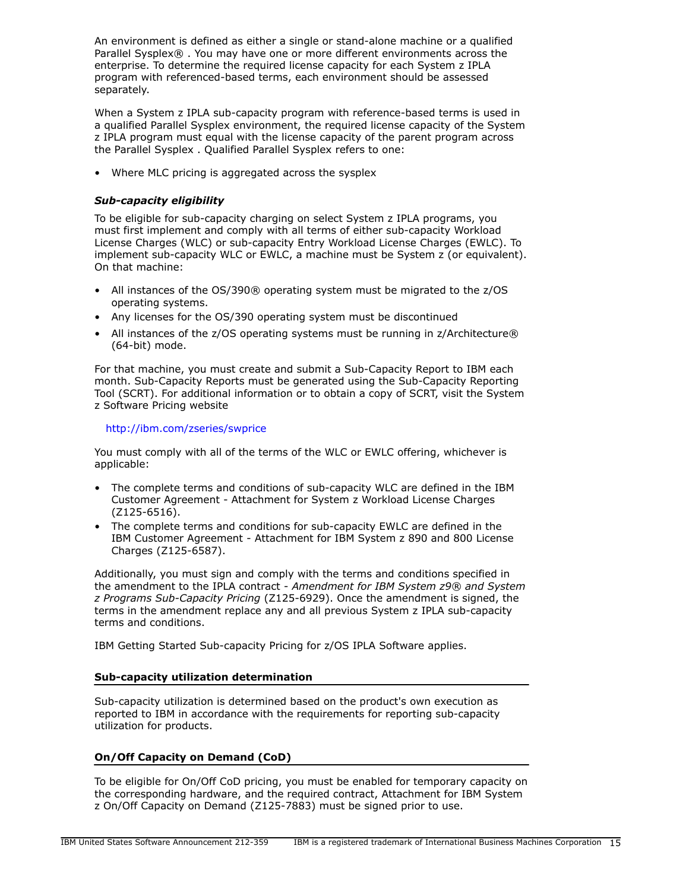An environment is defined as either a single or stand-alone machine or a qualified Parallel Sysplex® . You may have one or more different environments across the enterprise. To determine the required license capacity for each System z IPLA program with referenced-based terms, each environment should be assessed separately.

When a System z IPLA sub-capacity program with reference-based terms is used in a qualified Parallel Sysplex environment, the required license capacity of the System z IPLA program must equal with the license capacity of the parent program across the Parallel Sysplex . Qualified Parallel Sysplex refers to one:

• Where MLC pricing is aggregated across the sysplex

# *Sub-capacity eligibility*

To be eligible for sub-capacity charging on select System z IPLA programs, you must first implement and comply with all terms of either sub-capacity Workload License Charges (WLC) or sub-capacity Entry Workload License Charges (EWLC). To implement sub-capacity WLC or EWLC, a machine must be System z (or equivalent). On that machine:

- All instances of the OS/390® operating system must be migrated to the z/OS operating systems.
- Any licenses for the OS/390 operating system must be discontinued
- All instances of the z/OS operating systems must be running in z/Architecture® (64-bit) mode.

For that machine, you must create and submit a Sub-Capacity Report to IBM each month. Sub-Capacity Reports must be generated using the Sub-Capacity Reporting Tool (SCRT). For additional information or to obtain a copy of SCRT, visit the System z Software Pricing website

# <http://ibm.com/zseries/swprice>

You must comply with all of the terms of the WLC or EWLC offering, whichever is applicable:

- The complete terms and conditions of sub-capacity WLC are defined in the IBM Customer Agreement - Attachment for System z Workload License Charges (Z125-6516).
- The complete terms and conditions for sub-capacity EWLC are defined in the IBM Customer Agreement - Attachment for IBM System z 890 and 800 License Charges (Z125-6587).

Additionally, you must sign and comply with the terms and conditions specified in the amendment to the IPLA contract - *Amendment for IBM System z9® and System z Programs Sub-Capacity Pricing* (Z125-6929). Once the amendment is signed, the terms in the amendment replace any and all previous System z IPLA sub-capacity terms and conditions.

IBM Getting Started Sub-capacity Pricing for z/OS IPLA Software applies.

# **Sub-capacity utilization determination**

Sub-capacity utilization is determined based on the product's own execution as reported to IBM in accordance with the requirements for reporting sub-capacity utilization for products.

# **On/Off Capacity on Demand (CoD)**

To be eligible for On/Off CoD pricing, you must be enabled for temporary capacity on the corresponding hardware, and the required contract, Attachment for IBM System z On/Off Capacity on Demand (Z125-7883) must be signed prior to use.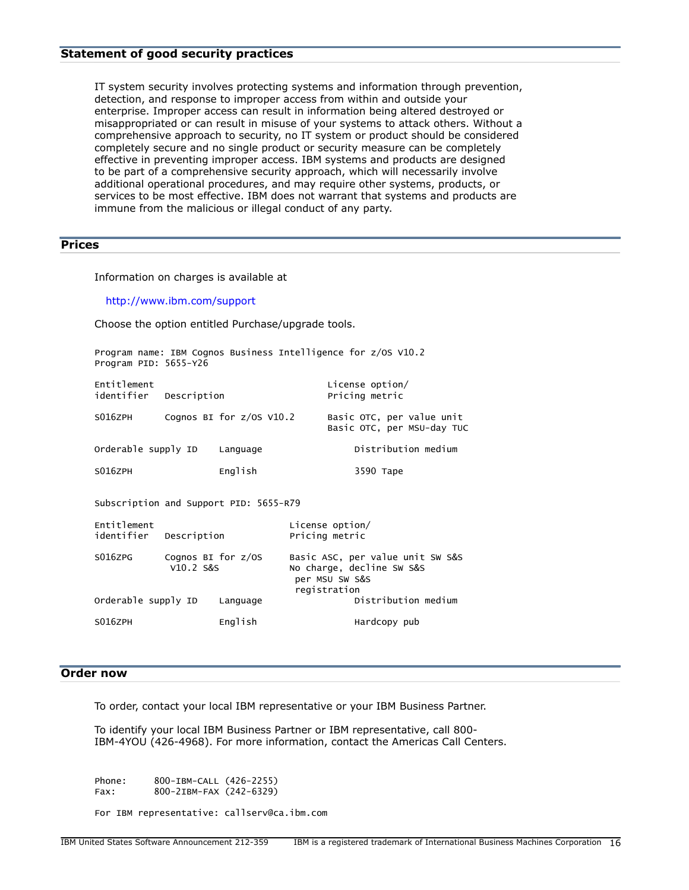# **Statement of good security practices**

IT system security involves protecting systems and information through prevention, detection, and response to improper access from within and outside your enterprise. Improper access can result in information being altered destroyed or misappropriated or can result in misuse of your systems to attack others. Without a comprehensive approach to security, no IT system or product should be considered completely secure and no single product or security measure can be completely effective in preventing improper access. IBM systems and products are designed to be part of a comprehensive security approach, which will necessarily involve additional operational procedures, and may require other systems, products, or services to be most effective. IBM does not warrant that systems and products are immune from the malicious or illegal conduct of any party.

# <span id="page-15-0"></span>**Prices**

Information on charges is available at

<http://www.ibm.com/support>

Choose the option entitled Purchase/upgrade tools.

| Program PID: 5655-Y26                 |                                     | Program name: IBM Cognos Business Intelligence for z/OS V10.2 |                                   |                                             |                                                         |  |
|---------------------------------------|-------------------------------------|---------------------------------------------------------------|-----------------------------------|---------------------------------------------|---------------------------------------------------------|--|
| Entitlement<br>identifier Description |                                     |                                                               |                                   | License option/<br>Pricing metric           |                                                         |  |
| S016ZPH                               |                                     | Cognos BI for $z/0s$ V10.2                                    |                                   |                                             | Basic OTC, per value unit<br>Basic OTC, per MSU-day TUC |  |
| Orderable supply ID                   |                                     | Language                                                      |                                   |                                             | Distribution medium                                     |  |
| S016ZPH                               |                                     | English                                                       |                                   | 3590 Tape                                   |                                                         |  |
|                                       |                                     | Subscription and Support PID: 5655-R79                        |                                   |                                             |                                                         |  |
| Entitlement<br>identifier Description |                                     |                                                               | License option/<br>Pricing metric |                                             |                                                         |  |
| S016ZPG                               | Cognos BI for $z/0S$<br>$V10.2$ S&S |                                                               |                                   | No charge, decline SW S&S<br>per MSU SW S&S | Basic ASC, per value unit SW S&S                        |  |

registration<br>Distribution medium Orderable supply ID Language

# SO16ZPH English Hardcopy pub

# <span id="page-15-1"></span>**Order now**

To order, contact your local IBM representative or your IBM Business Partner.

To identify your local IBM Business Partner or IBM representative, call 800- IBM-4YOU (426-4968). For more information, contact the Americas Call Centers.

Phone: 800-IBM-CALL (426-2255) Fax: 800-2IBM-FAX (242-6329)

For IBM representative: callserv@ca.ibm.com